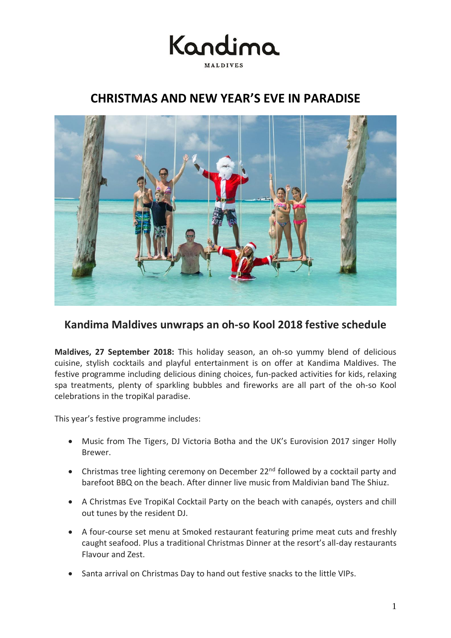

## **CHRISTMAS AND NEW YEAR'S EVE IN PARADISE**



### **Kandima Maldives unwraps an oh-so Kool 2018 festive schedule**

**Maldives, 27 September 2018:** This holiday season, an oh-so yummy blend of delicious cuisine, stylish cocktails and playful entertainment is on offer at Kandima Maldives. The festive programme including delicious dining choices, fun-packed activities for kids, relaxing spa treatments, plenty of sparkling bubbles and fireworks are all part of the oh-so Kool celebrations in the tropiKal paradise.

This year's festive programme includes:

- Music from The Tigers, DJ Victoria Botha and the UK's Eurovision 2017 singer Holly Brewer.
- Christmas tree lighting ceremony on December 22<sup>nd</sup> followed by a cocktail party and barefoot BBQ on the beach. After dinner live music from Maldivian band The Shiuz.
- A Christmas Eve TropiKal Cocktail Party on the beach with canapés, oysters and chill out tunes by the resident DJ.
- A four-course set menu at Smoked restaurant featuring prime meat cuts and freshly caught seafood. Plus a traditional Christmas Dinner at the resort's all-day restaurants Flavour and Zest.
- Santa arrival on Christmas Day to hand out festive snacks to the little VIPs.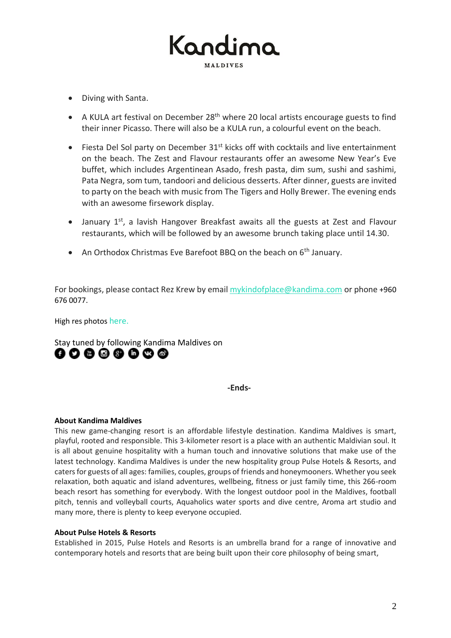# Kandir MALDIVES

- Diving with Santa.
- A KULA art festival on December 28<sup>th</sup> where 20 local artists encourage guests to find their inner Picasso. There will also be a KULA run, a colourful event on the beach.
- Fiesta Del Sol party on December  $31<sup>st</sup>$  kicks off with cocktails and live entertainment on the beach. The Zest and Flavour restaurants offer an awesome New Year's Eve buffet, which includes Argentinean Asado, fresh pasta, dim sum, sushi and sashimi, Pata Negra, som tum, tandoori and delicious desserts. After dinner, guests are invited to party on the beach with music from The Tigers and Holly Brewer. The evening ends with an awesome firsework display.
- January 1<sup>st</sup>, a lavish Hangover Breakfast awaits all the guests at Zest and Flavour restaurants, which will be followed by an awesome brunch taking place until 14.30.
- An Orthodox Christmas Eve Barefoot BBQ on the beach on 6<sup>th</sup> January.

For bookings, please contact Rez Krew by email [mykindofplace@kandima.com](mailto:mykindofplace@kandima.com) or phone +960 676 0077.

High res photos [here.](https://www.dropbox.com/sh/c44ohiydmx588y0/AAAjTq670e6OKNCNJ58sD1E4a?dl=0)

Stay tuned by following Kandima Maldives on ........

**-Ends-**

### **About Kandima Maldives**

This new game-changing resort is an affordable lifestyle destination. Kandima Maldives is smart, playful, rooted and responsible. This 3-kilometer resort is a place with an authentic Maldivian soul. It is all about genuine hospitality with a human touch and innovative solutions that make use of the latest technology. Kandima Maldives is under the new hospitality group Pulse Hotels & Resorts, and caters for guests of all ages: families, couples, groups of friends and honeymooners. Whether you seek relaxation, both aquatic and island adventures, wellbeing, fitness or just family time, this 266-room beach resort has something for everybody. With the longest outdoor pool in the Maldives, football pitch, tennis and volleyball courts, Aquaholics water sports and dive centre, Aroma art studio and many more, there is plenty to keep everyone occupied.

### **About Pulse Hotels & Resorts**

Established in 2015, Pulse Hotels and Resorts is an umbrella brand for a range of innovative and contemporary hotels and resorts that are being built upon their core philosophy of being smart,